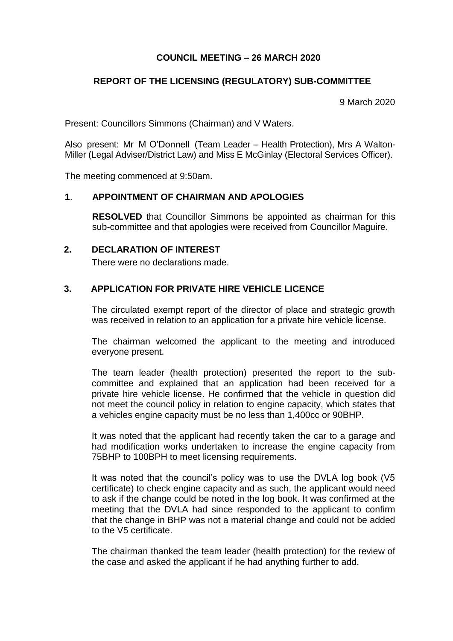# **COUNCIL MEETING – 26 MARCH 2020**

# **REPORT OF THE LICENSING (REGULATORY) SUB-COMMITTEE**

9 March 2020

Present: Councillors Simmons (Chairman) and V Waters.

Also present: Mr M O'Donnell (Team Leader – Health Protection), Mrs A Walton-Miller (Legal Adviser/District Law) and Miss E McGinlay (Electoral Services Officer).

The meeting commenced at 9:50am.

### **1**. **APPOINTMENT OF CHAIRMAN AND APOLOGIES**

**RESOLVED** that Councillor Simmons be appointed as chairman for this sub-committee and that apologies were received from Councillor Maguire.

#### **2. DECLARATION OF INTEREST**

There were no declarations made.

### **3. APPLICATION FOR PRIVATE HIRE VEHICLE LICENCE**

The circulated exempt report of the director of place and strategic growth was received in relation to an application for a private hire vehicle license.

The chairman welcomed the applicant to the meeting and introduced everyone present.

The team leader (health protection) presented the report to the subcommittee and explained that an application had been received for a private hire vehicle license. He confirmed that the vehicle in question did not meet the council policy in relation to engine capacity, which states that a vehicles engine capacity must be no less than 1,400cc or 90BHP.

It was noted that the applicant had recently taken the car to a garage and had modification works undertaken to increase the engine capacity from 75BHP to 100BPH to meet licensing requirements.

It was noted that the council's policy was to use the DVLA log book (V5 certificate) to check engine capacity and as such, the applicant would need to ask if the change could be noted in the log book. It was confirmed at the meeting that the DVLA had since responded to the applicant to confirm that the change in BHP was not a material change and could not be added to the V5 certificate.

The chairman thanked the team leader (health protection) for the review of the case and asked the applicant if he had anything further to add.